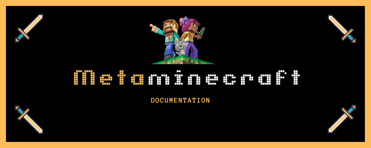

# Filip es frances de se

**DOCUMENTATION**

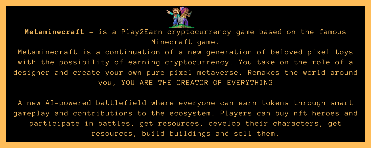

**Metaminecraft -** is a Play2Earn cryptocurrency game based on the famous Minecraft game.

Metaminecraft is a continuation of a new generation of beloved pixel toys with the possibility of earning cryptocurrency. You take on the role of a designer and create your own pure pixel metaverse. Remakes the world around you, YOU ARE THE CREATOR OF EVERYTHING

A new AI-powered battlefield where everyone can earn tokens through smart gameplay and contributions to the ecosystem. Players can buy nft heroes and participate in battles, get resources, develop their characters, get resources, build buildings and sell them.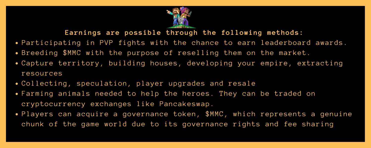

**Earnings are possible through the following methods:**

- Participating in PVP fights with the chance to earn leaderboard awards.
- Breeding \$MMC with the purpose of reselling them on the market.
- Сapture territory, building houses, developing your empire, extracting resources
- Collecting, speculation, player upgrades and resale
- Farming animals needed to help the heroes. They can be traded on cryptocurrency exchanges like Pancakeswap.
- Players can acquire a governance token, \$MMC, which represents a genuine chunk of the game world due to its governance rights and fee sharing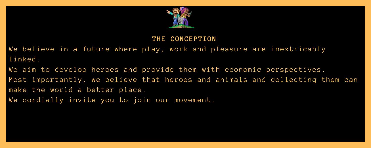

#### **THE CONCEPTION**

We believe in a future where play, work and pleasure are inextricably linked.

We aim to develop heroes and provide them with economic perspectives. Most importantly, we believe that heroes and animals and collecting them can make the world a better place. We cordially invite you to join our movement.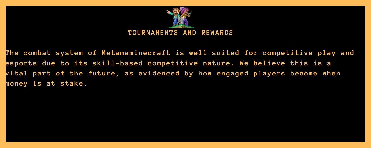

**The combat system of Metamaminecraft is well suited for competitive play and esports due to its skill-based competitive nature. We believe this is a vital part of the future, as evidenced by how engaged players become when money is at stake.**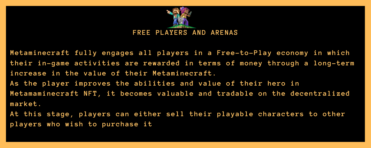

**Metaminecraft fully engages all players in a Free-to-Play economy in which their in-game activities are rewarded in terms of money through a long-term increase in the value of their Metaminecraft. As the player improves the abilities and value of their hero in Metamaminecraft NFT, it becomes valuable and tradable on the decentralized market.**

**At this stage, players can either sell their playable characters to other players who wish to purchase it**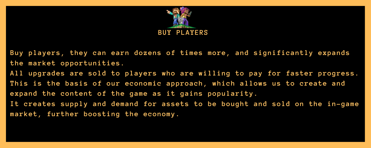

**Buy players, they can earn dozens of times more, and significantly expands the market opportunities.**

**All upgrades are sold to players who are willing to pay for faster progress. This is the basis of our economic approach, which allows us to create and expand the content of the game as it gains popularity. It creates supply and demand for assets to be bought and sold on the in-game market, further boosting the economy.**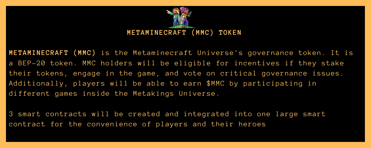

**METAMINECRAFT (MMC)** is the Metaminecraft Universe's governance token. It is a BEP-20 token. MMC holders will be eligible for incentives if they stake their tokens, engage in the game, and vote on critical governance issues. Additionally, players will be able to earn \$MMC by participating in different games inside the Metakings Universe.

3 smart contracts will be created and integrated into one large smart contract for the convenience of players and their heroes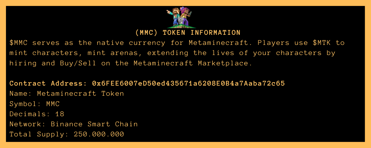

\$MMC serves as the native currency for Metaminecraft. Players use \$MTK to mint characters, mint arenas, extending the lives of your characters by hiring and Buy/Sell on the Metaminecraft Marketplace.

**Contract Address: 0x6FEE6007eD50ed435671a6208E0B4a7Aaba72c65** Name: Metaminecraft Token Symbol: MMC Decimals: 18 Network: Binance Smart Chain Total Supply: 250.000.000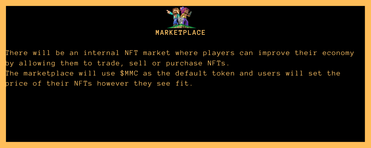

There will be an internal NFT market where players can improve their economy by allowing them to trade, sell or purchase NFTs. The marketplace will use \$MMC as the default token and users will set the price of their NFTs however they see fit.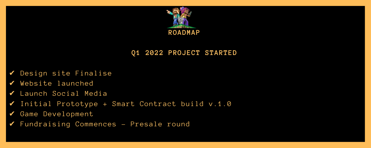

## **Q1 2022 PROJECT STARTED**

- ✔ Design site Finalise
- ✔ Website launched
- ✔ Launch Social Media
- ✔ Initial Prototype + Smart Contract build v.1.0
- ✔ Game Development
- ✔ Fundraising Commences Presale round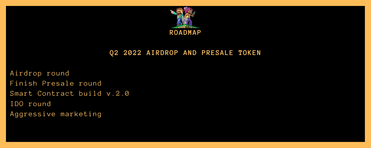

#### **Q2 2022 AIRDROP AND PRESALE TOKEN**

Airdrop round Finish Presale round Smart Contract build v.2.0 IDO round Aggressive marketing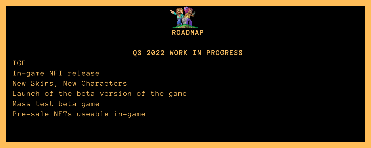

**Q3 2022 WORK IN PROGRESS**

#### TGE

In-game NFT release New Skins, New Characters Launch of the beta version of the game Mass test beta game Pre-sale NFTs useable in-game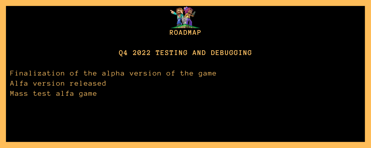

## **Q4 2022 TESTING AND DEBUGGING**

Finalization of the alpha version of the game Alfa version released Mass test alfa game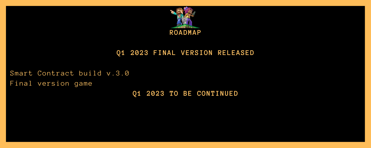

## **Q1 2023 FINAL VERSION RELEASED**

Smart Contract build v.3.0 Final version game

**Q1 2023 TO BE CONTINUED**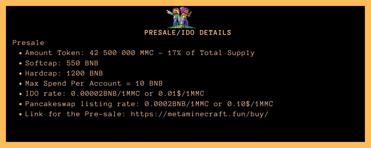

#### Presale

- Amount Token: 42 500 000 MMC 17% of Total Supply
- Softcap: 550 BNB
- Hardcap: 1200 BNB
- Max Spend Per Account = 10 BNB
- IDO rate: 0.00002BNB/1MMC or 0.01\$/1MMC
- Pancakeswap listing rate: 0.0002BNB/1MMC or 0.10\$/1MMC
- Link for the Pre-sale: https://metaminecraft.fun/buy/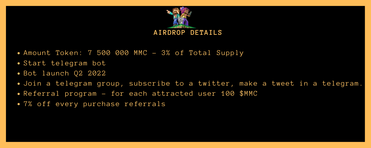

- Amount Token: 7 500 000 MMC 3% of Total Supply
- Start telegram bot
- Bot launch 02 2022
- Join a telegram group, subscribe to a twitter, make a tweet in a telegram.
- Referral program for each attracted user 100 \$MMC
- 7% off every purchase referrals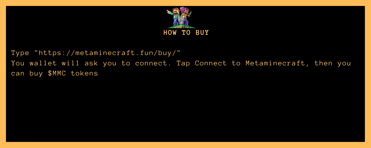

## Type "https://metaminecraft.fun/buy/" You wallet will ask you to connect. Tap Connect to Metaminecraft, then you can buy \$MMC tokens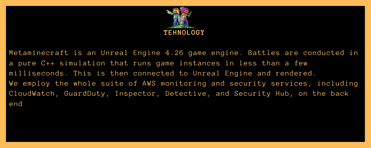

Metaminecraft is an Unreal Engine 4.26 game engine. Battles are conducted in a pure C++ simulation that runs game instances in less than a few milliseconds. This is then connected to Unreal Engine and rendered. We employ the whole suite of AWS monitoring and security services, including CloudWatch, GuardDuty, Inspector, Detective, and Security Hub, on the back end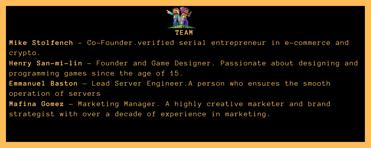

**Mike Stolfench** - Co-Founder.verified serial entrepreneur in e-commerce and crypto.

**Henry San-mi-lin** - Founder and Game Designer. Passionate about designing and programming games since the age of 15.

**Emmanuel Baston** — Lead Server Engineer.A person who ensures the smooth operation of servers

**Mafina Gomez** — Marketing Manager. A highly creative marketer and brand strategist with over a decade of experience in marketing.